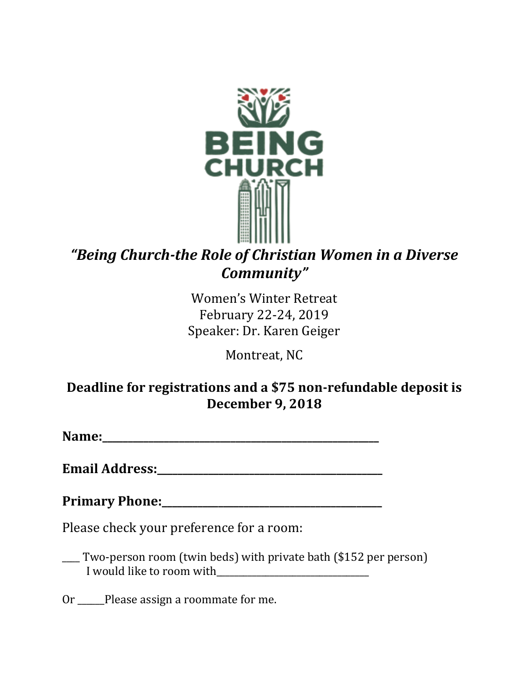

# *"Being Church-the Role of Christian Women in a Diverse Community"*

Women's Winter Retreat February 22-24, 2019 Speaker: Dr. Karen Geiger

Montreat, NC

## **Deadline for registrations and a \$75 non-refundable deposit is December 9, 2018**

**Name:\_\_\_\_\_\_\_\_\_\_\_\_\_\_\_\_\_\_\_\_\_\_\_\_\_\_\_\_\_\_\_\_\_\_\_\_\_\_\_\_\_\_\_\_\_\_\_\_\_\_\_\_\_\_**

**Email Address:\_\_\_\_\_\_\_\_\_\_\_\_\_\_\_\_\_\_\_\_\_\_\_\_\_\_\_\_\_\_\_\_\_\_\_\_\_\_\_\_\_\_\_\_**

**Primary Phone:\_\_\_\_\_\_\_\_\_\_\_\_\_\_\_\_\_\_\_\_\_\_\_\_\_\_\_\_\_\_\_\_\_\_\_\_\_\_\_\_\_\_\_**

Please check your preference for a room:

\_\_\_\_ Two-person room (twin beds) with private bath (\$152 per person) I would like to room with

Or \_\_\_\_\_\_Please assign a roommate for me.